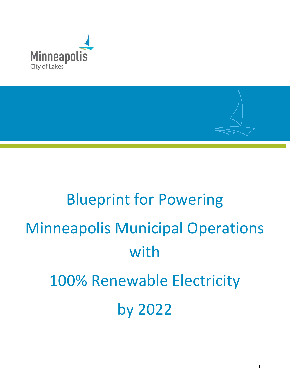

# Blueprint for Powering Minneapolis Municipal Operations with 100% Renewable Electricity by 2022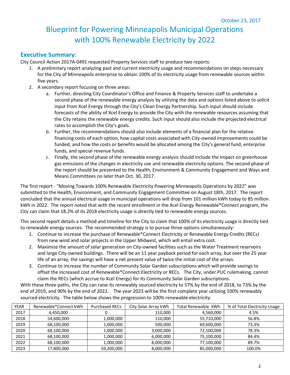# Blueprint for Powering Minneapolis Municipal Operations with 100% Renewable Electricity by 2022

#### **Executive Summary:**

City Council Action 2017A-0491 requested Property Services staff to produce two reports:

- 1. A preliminary report analyzing past and current electricity usage and recommendations on steps necessary for the City of Minneapolis enterprise to obtain 100% of its electricity usage from renewable sources within five years.
- 2. A secondary report focusing on three areas:
	- a. Further, directing City Coordinator's Office and Finance & Property Services staff to undertake a second phase of the renewable energy analysis by utilizing the data and options listed above to solicit input from Xcel Energy through the City's Clean Energy Partnership. Such input should include forecasts of the ability of Xcel Energy to provide the City with the renewable resources assuming that the City retains the renewable energy credits. Such input should also include the projected electrical rates to accomplish the City's goals.
	- b. Further, the recommendations should also include elements of a financial plan for the relative financing costs of each option, how capital costs associated with City-owned improvements could be funded, and how the costs or benefits would be allocated among the City's general fund, enterprise funds, and special revenue funds.
	- c. Finally, the second phase of the renewable energy analysis should include the impact on greenhouse gas emissions of the changes in electricity use and renewable electricity options. The second phase of the report should be presented to the Health, Environment & Community Engagement and Ways and Means Committees no later than Oct. 30, 2017.

The first report - "Moving Towards 100% Renewable Electricity Powering Minneapolis Operations by 2022" was submitted to the Health, Environment, and Community Engagement Committee on August 18th, 2017. The report concluded that the annual electrical usage in municipal operations will drop from 101 million kWh today to 85 million kWh in 2022. The report noted that with the recent enrollment in the Xcel Energy Renewable\*Connect program, the City can claim that 18.2% of its 2018 electricity usage is directly tied to renewable energy sources.

This second report details a method and timeline for the City to claim that 100% of its electricity usage is directly tied to renewable energy sources. The recommended strategy is to pursue three options simultaneously:

- 1. Continue to increase the purchase of Renewable\*Connect Electricity or Renewable Energy Credits (RECs) from new wind and solar projects in the Upper Midwest, which will entail extra cost.
- 2. Maximize the amount of solar generation on City-owned facilities such as the Water Treatment reservoirs and large City-owned buildings. There will be an 11 year payback period for each array, but over the 25 year life of an array, the savings will have a net present value of twice the initial cost of the arrays.
- 3. Continue to increase the number of Community Solar Garden subscriptions which will provide savings to offset the increased cost of Renewable\*Connect Electricity or RECs. The City, under PUC rulemaking, cannot claim the RECs (which accrue to Xcel Energy) for its Community Solar Garden subscriptions.

With these three paths, the City can raise its renewably sourced electricity to 57% by the end of 2018, to 73% by the end of 2019, and 90% by the end of 2022. The year 2023 will be the first complete year utilizing 100% renewably sourced electricity. The table below shows the progression to 100% renewable electricity:

| YEAR | Renewable*Connect kWh | <b>Purchased RECs</b> | City Solar Array kWh | Total Renewable kWh | % of Total Electricity Usage |
|------|-----------------------|-----------------------|----------------------|---------------------|------------------------------|
| 2017 | 4,450,000             |                       | 110,000              | 4,560,000           | 4.5%                         |
| 2018 | 54,600,000            | 1,000,000             | 110,000              | 55,710,000          | 56.8%                        |
| 2019 | 68,100,000            | 1,000,000             | 500,000              | 69,600,000          | 73.3%                        |
| 2020 | 68,100,000            | 1,000,000             | 3,000,000            | 72,100,000          | 78.3%                        |
| 2021 | 68,100,000            | 1,000,000             | 6,000,000            | 75,100,000          | 84.4%                        |
| 2022 | 68.100.000            | 1,000,000             | 8,000,000            | 77,100,000          | 89.7%                        |
| 2023 | 17,800,000            | 59,200,000            | 8,000,000            | 85,000,000          | 100.0%                       |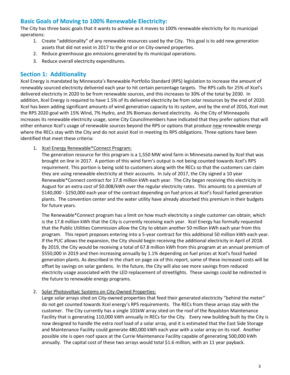# **Basic Goals of Moving to 100% Renewable Electricity:**

The City has three basic goals that it wants to achieve as it moves to 100% renewable electricity for its municipal operations:

- 1. Create "additionality" of any renewable resources used by the City. This goal is to add new generation assets that did not exist in 2017 to the grid or on City-owned properties.
- 2. Reduce greenhouse gas emissions generated by its municipal operations.
- 3. Reduce overall electricity expenditures.

## **Section 1: Additionality**

Xcel Energy is mandated by Minnesota's Renewable Portfolio Standard (RPS) legislation to increase the amount of renewably sourced electricity delivered each year to hit certain percentage targets. The RPS calls for 25% of Xcel's delivered electricity in 2020 to be from renewable sources, and this increases to 30% of the total by 2030. In addition, Xcel Energy is required to have 1.5% of its delivered electricity be from solar resources by the end of 2020. Xcel has been adding significant amounts of wind generation capacity to its system, and by the end of 2016, Xcel met the RPS 2020 goal with 15% Wind, 7% Hydro, and 3% Biomass derived electricity. As the City of Minneapolis increases its renewable electricity usage, some City Councilmembers have indicated that they prefer options that will either enhance Xcel's usage of renewable sources beyond the RPS or options that produce new renewable energy where the RECs stay with the City and do not assist Xcel in meeting its RPS obligations. Three options have been identified that meet these criteria:

1. Xcel Energy Renewable\*Connect Program:

The generation resource for this program is a 1,550 MW wind farm in Minnesota owned by Xcel that was brought on line in 2017. A portion of this wind farm's output is not being counted towards Xcel's RPS requirement. This portion is being sold to customers along with the RECs so that the customers can claim they are using renewable electricity at their accounts. In July of 2017, the City signed a 10 year Renewable\*Connect contract for 17.8 million kWh each year. The City began receiving this electricity in August for an extra cost of \$0.008/kWh over the regular electricity rates. This amounts to a premium of \$140,000 - \$250,000 each year of the contract depending on fuel prices at Xcel's fossil fueled generation plants. The convention center and the water utility have already absorbed this premium in their budgets for future years.

The Renewable\*Connect program has a limit on how much electricity a single customer can obtain, which is the 17.8 million kWh that the City is currently receiving each year. Xcel Energy has formally requested that the Public Utilities Commission allow the City to obtain another 50 million kWh each year from this program. This report proposes entering into a 5-year contract for this additional 50 million kWh each year. If the PUC allows the expansion, the City should begin receiving the additional electricity in April of 2018. By 2019, the City would be receiving a total of 67.8 million kWh from this program at an annual premium of \$550,000 in 2019 and then increasing annually by 1.1% depending on fuel prices at Xcel's fossil fueled generation plants. As described in the chart on page six of this report, some of these increased costs will be offset by savings on solar gardens. In the future, the City will also see more savings from reduced electricity usage associated with the LED replacement of streetlights. These savings could be redirected in the future to renewable energy programs.

#### 2. Solar Photovoltaic Systems on City-Owned Properties:

Large solar arrays sited on City-owned properties that feed their generated electricity "behind the meter" do not get counted towards Xcel energy's RPS requirements. The RECs from these arrays stay with the customer. The City currently has a single 101kW array sited on the roof of the Royalston Maintenance Facility that is generating 110,000 kWh annually in RECs for the City. Every new building built by the City is now designed to handle the extra roof load of a solar array, and it is estimated that the East Side Storage and Maintenance Facility could generate 480,000 kWh each year with a solar array on its roof. Another possible site is open roof space at the Currie Maintenance Facility capable of generating 500,000 kWh annually. The capital cost of these two arrays would total \$1.6 million, with an 11 year payback.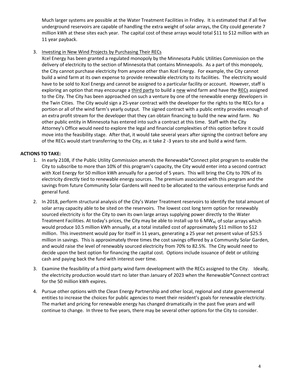Much larger systems are possible at the Water Treatment Facilities in Fridley. It is estimated that if all five underground reservoirs are capable of handling the extra weight of solar arrays, the City could generate 7 million kWh at these sites each year. The capital cost of these arrays would total \$11 to \$12 million with an 11 year payback.

#### 3. Investing in New Wind Projects by Purchasing Their RECs

Xcel Energy has been granted a regulated monopoly by the Minnesota Public Utilities Commission on the delivery of electricity to the section of Minnesota that contains Minneapolis. As a part of this monopoly, the City cannot purchase electricity from anyone other than Xcel Energy. For example, the City cannot build a wind farm at its own expense to provide renewable electricity to its facilities. The electricity would have to be sold to Xcel Energy and cannot be assigned to a particular facility or account. However, staff is exploring an option that may encourage a third party to build a new wind farm and have the RECs assigned to the City. The City has been approached on such a venture by one of the renewable energy developers in the Twin Cities. The City would sign a 25-year contract with the developer for the rights to the RECs for a portion or all of the wind farm's yearly output. The signed contract with a public entity provides enough of an extra profit stream for the developer that they can obtain financing to build the new wind farm. No other public entity in Minnesota has entered into such a contract at this time. Staff with the City Attorney's Office would need to explore the legal and financial complexities of this option before it could move into the feasibility stage. After that, it would take several years after signing the contract before any of the RECs would start transferring to the City, as it take 2 -3 years to site and build a wind farm.

#### **ACTIONS TO TAKE:**

- 1. In early 2108, if the Public Utility Commission amends the Renewable\*Connect pilot program to enable the City to subscribe to more than 10% of this program's capacity, the City would enter into a second contract with Xcel Energy for 50 million kWh annually for a period of 5 years. This will bring the City to 70% of its electricity directly tied to renewable energy sources. The premium associated with this program and the savings from future Community Solar Gardens will need to be allocated to the various enterprise funds and general fund.
- 2. In 2018, perform structural analysis of the City's Water Treatment reservoirs to identify the total amount of solar array capacity able to be sited on the reservoirs. The lowest cost long term option for renewably sourced electricity is for the City to own its own large arrays supplying power directly to the Water Treatment Facilities. At today's prices, the City may be able to install up to 6 MW<sub>AC</sub> of solar arrays which would produce 10.5 million kWh annually, at a total installed cost of approximately \$11 million to \$12 million. This investment would pay for itself in 11 years, generating a 25 year net present value of \$25.5 million in savings. This is approximately three times the cost savings offered by a Community Solar Garden, and would raise the level of renewably sourced electricity from 70% to 82.5%. The City would need to decide upon the best option for financing the capital cost. Options include issuance of debt or utilizing cash and paying back the fund with interest over time.
- 3. Examine the feasibility of a third party wind farm development with the RECs assigned to the City. Ideally, the electricity production would start no later than January of 2023 when the Renewable\*Connect contract for the 50 million kWh expires.
- 4. Pursue other options with the Clean Energy Partnership and other local, regional and state governmental entities to increase the choices for public agencies to meet their resident's goals for renewable electricity. The market and pricing for renewable energy has changed dramatically in the past five years and will continue to change. In three to five years, there may be several other options for the City to consider.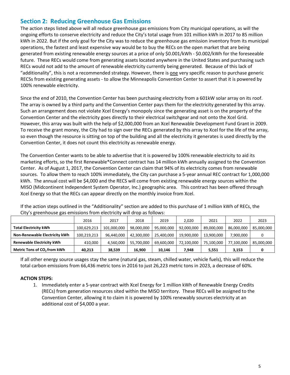# **Section 2: Reducing Greenhouse Gas Emissions**

The action steps listed above will all reduce greenhouse gas emissions from City municipal operations, as will the ongoing efforts to conserve electricity and reduce the City's total usage from 101 million kWh in 2017 to 85 million kWh in 2022. But if the only goal for the City was to reduce the greenhouse gas emission inventory from its municipal operations, the fastest and least expensive way would be to buy the RECs on the open market that are being generated from existing renewable energy sources at a price of only \$0.001/kWh - \$0.002/kWh for the foreseeable future. These RECs would come from generating assets located anywhere in the United States and purchasing such RECs would not add to the amount of renewable electricity currently being generated. Because of this lack of "additionality", this is not a recommended strategy. However, there is one very specific reason to purchase generic RECSs from existing generating assets - to allow the Minneapolis Convention Center to assert that it is powered by 100% renewable electricity.

Since the end of 2010, the Convention Center has been purchasing electricity from a 601kW solar array on its roof. The array is owned by a third party and the Convention Center pays them for the electricity generated by this array. Such an arrangement does not violate Xcel Energy's monopoly since the generating asset is on the property of the Convention Center and the electricity goes directly to their electrical switchgear and not onto the Xcel Grid. However, this array was built with the help of \$2,000,000 from an Xcel Renewable Development Fund Grant in 2009. To receive the grant money, the City had to sign over the RECs generated by this array to Xcel for the life of the array, so even though the resource is sitting on top of the building and all the electricity it generates is used directly by the Convention Center, it does not count this electricity as renewable energy.

The Convention Center wants to be able to advertise that it is powered by 100% renewable electricity to aid its marketing efforts, so the first Renewable\*Connect contract has 14 million kWh annually assigned to the Convention Center. As of August 1, 2017, the Convention Center can claim that 94% of its electricity comes from renewable sources. To allow them to reach 100% immediately, the City can purchase a 5-year annual REC contract for 1,000,000 kWh. The annual cost will be \$4,000 and the RECS will come from existing renewable energy sources within the MISO (Midcontinent Independent System Operator, Inc.) geographic area. This contract has been offered through Xcel Energy so that the RECs can appear directly on the monthly invoice from Xcel.

| If the action steps outlined in the "Additionality" section are added to this purchase of 1 million kWh of RECs, the |  |
|----------------------------------------------------------------------------------------------------------------------|--|
| City's greenhouse gas emissions from electricity will drop as follows:                                               |  |

|                                         | 2016        | 2017        | 2018       | 2019       | 2.020      | 2021       | 2022       | 2023       |
|-----------------------------------------|-------------|-------------|------------|------------|------------|------------|------------|------------|
| <b>Total Electricity kWh</b>            | 100,629,213 | 101,000,000 | 98,000,000 | 95,000,000 | 92,000,000 | 89,000,000 | 86,000,000 | 85,000,000 |
| Non-Renewable Electricity kWh           | 100,219,213 | 96,440,000  | 42,300,000 | 25,400,000 | 19,900,000 | 13.900.000 | 7.900.000  |            |
| Renewable Electricity kWh               | 410.000     | 4,560,000   | 55,700,000 | 69,600,000 | 72,100,000 | 75,100,000 | 77,100,000 | 85,000,000 |
| Metric Tons of CO <sub>2</sub> from kWh | 40,213      | 38,539      | 16,900     | 10,146     | 7.948      | 5,551      | 3,153      |            |

If all other energy source usages stay the same (natural gas, steam, chilled water, vehicle fuels), this will reduce the total carbon emissions from 66,436 metric tons in 2016 to just 26,223 metric tons in 2023, a decrease of 60%.

#### **ACTION STEPS:**

1. Immediately enter a 5-year contract with Xcel Energy for 1 million kWh of Renewable Energy Credits (RECs) from generation resources sited within the MISO territory. These RECs will be assigned to the Convention Center, allowing it to claim it is powered by 100% renewably sources electricity at an additional cost of \$4,000 a year.